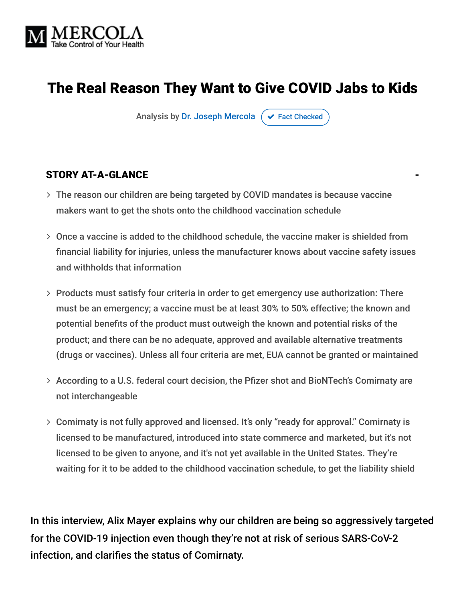

# The Real Reason They Want to Give COVID Jabs to Kids

Analysis by [Dr. Joseph Mercola](https://www.mercola.com/forms/background.htm)  $\sigma$  [Fact Checked](javascript:void(0))

#### STORY AT-A-GLANCE

- The reason our children are being targeted by COVID mandates is because vaccine makers want to get the shots onto the childhood vaccination schedule
- Once a vaccine is added to the childhood schedule, the vaccine maker is shielded from financial liability for injuries, unless the manufacturer knows about vaccine safety issues and withholds that information
- Products must satisfy four criteria in order to get emergency use authorization: There must be an emergency; a vaccine must be at least 30% to 50% effective; the known and potential benefits of the product must outweigh the known and potential risks of the product; and there can be no adequate, approved and available alternative treatments (drugs or vaccines). Unless all four criteria are met, EUA cannot be granted or maintained
- > According to a U.S. federal court decision, the Pfizer shot and BioNTech's Comirnaty are not interchangeable
- Comirnaty is not fully approved and licensed. It's only "ready for approval." Comirnaty is licensed to be manufactured, introduced into state commerce and marketed, but it's not licensed to be given to anyone, and it's not yet available in the United States. They're waiting for it to be added to the childhood vaccination schedule, to get the liability shield

In this interview, Alix Mayer explains why our children are being so aggressively targeted for the COVID-19 injection even though they're not at risk of serious SARS-CoV-2 infection, and clarifies the status of Comirnaty.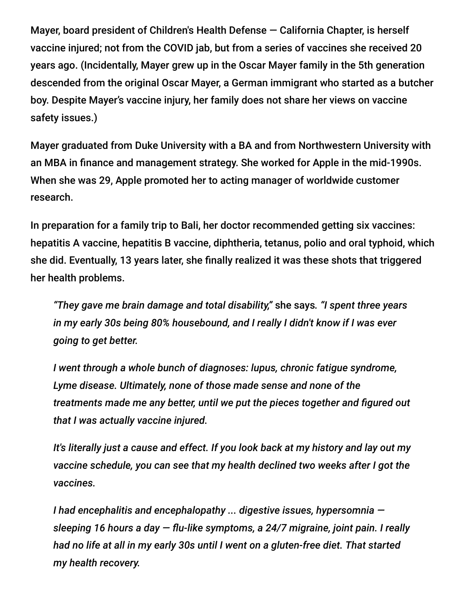Mayer, board president of Children's Health Defense — California Chapter, is herself vaccine injured; not from the COVID jab, but from a series of vaccines she received 20 years ago. (Incidentally, Mayer grew up in the Oscar Mayer family in the 5th generation descended from the original Oscar Mayer, a German immigrant who started as a butcher boy. Despite Mayer's vaccine injury, her family does not share her views on vaccine safety issues.)

Mayer graduated from Duke University with a BA and from Northwestern University with an MBA in finance and management strategy. She worked for Apple in the mid-1990s. When she was 29, Apple promoted her to acting manager of worldwide customer research.

In preparation for a family trip to Bali, her doctor recommended getting six vaccines: hepatitis A vaccine, hepatitis B vaccine, diphtheria, tetanus, polio and oral typhoid, which she did. Eventually, 13 years later, she finally realized it was these shots that triggered her health problems.

*"They gave me brain damage and total disability,"* she says*. "I spent three years in my early 30s being 80% housebound, and I really I didn't know if I was ever going to get better.*

*I went through a whole bunch of diagnoses: lupus, chronic fatigue syndrome, Lyme disease. Ultimately, none of those made sense and none of the treatments made me any better, until we put the pieces together and figured out that I was actually vaccine injured.*

*It's literally just a cause and effect. If you look back at my history and lay out my vaccine schedule, you can see that my health declined two weeks after I got the vaccines.*

*I had encephalitis and encephalopathy ... digestive issues, hypersomnia sleeping 16 hours a day — flu-like symptoms, a 24/7 migraine, joint pain. I really had no life at all in my early 30s until I went on a gluten-free diet. That started my health recovery.*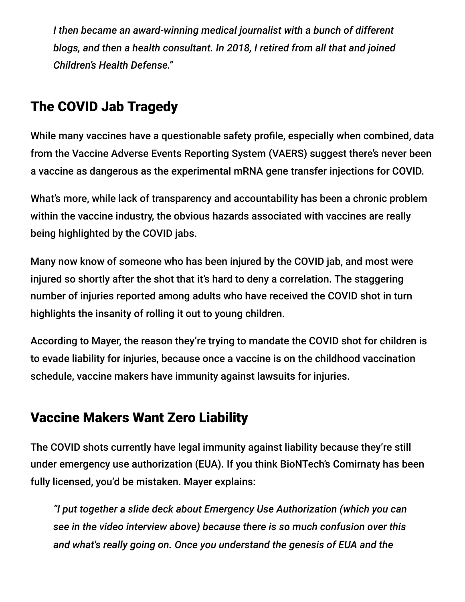*I then became an award-winning medical journalist with a bunch of different blogs, and then a health consultant. In 2018, I retired from all that and joined Children's Health Defense."*

# The COVID Jab Tragedy

While many vaccines have a questionable safety profile, especially when combined, data from the Vaccine Adverse Events Reporting System (VAERS) suggest there's never been a vaccine as dangerous as the experimental mRNA gene transfer injections for COVID.

What's more, while lack of transparency and accountability has been a chronic problem within the vaccine industry, the obvious hazards associated with vaccines are really being highlighted by the COVID jabs.

Many now know of someone who has been injured by the COVID jab, and most were injured so shortly after the shot that it's hard to deny a correlation. The staggering number of injuries reported among adults who have received the COVID shot in turn highlights the insanity of rolling it out to young children.

According to Mayer, the reason they're trying to mandate the COVID shot for children is to evade liability for injuries, because once a vaccine is on the childhood vaccination schedule, vaccine makers have immunity against lawsuits for injuries.

# Vaccine Makers Want Zero Liability

The COVID shots currently have legal immunity against liability because they're still under emergency use authorization (EUA). If you think BioNTech's Comirnaty has been fully licensed, you'd be mistaken. Mayer explains:

*"I put together a slide deck about Emergency Use Authorization (which you can see in the video interview above) because there is so much confusion over this and what's really going on. Once you understand the genesis of EUA and the*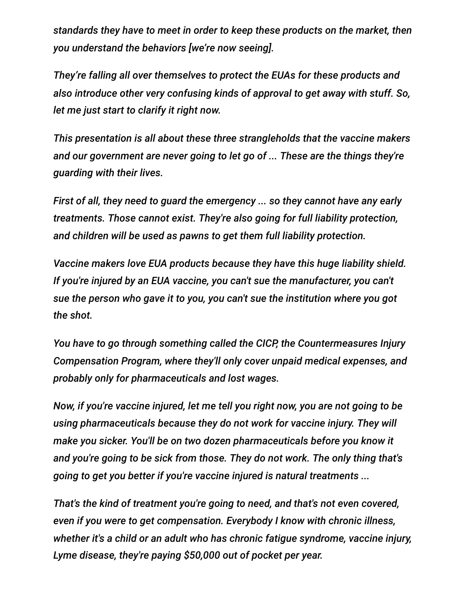*standards they have to meet in order to keep these products on the market, then you understand the behaviors [we're now seeing].*

*They're falling all over themselves to protect the EUAs for these products and also introduce other very confusing kinds of approval to get away with stuff. So, let me just start to clarify it right now.*

*This presentation is all about these three strangleholds that the vaccine makers and our government are never going to let go of ... These are the things they're guarding with their lives.*

*First of all, they need to guard the emergency ... so they cannot have any early treatments. Those cannot exist. They're also going for full liability protection, and children will be used as pawns to get them full liability protection.*

*Vaccine makers love EUA products because they have this huge liability shield. If you're injured by an EUA vaccine, you can't sue the manufacturer, you can't sue the person who gave it to you, you can't sue the institution where you got the shot.*

*You have to go through something called the CICP, the Countermeasures Injury Compensation Program, where they'll only cover unpaid medical expenses, and probably only for pharmaceuticals and lost wages.*

*Now, if you're vaccine injured, let me tell you right now, you are not going to be using pharmaceuticals because they do not work for vaccine injury. They will make you sicker. You'll be on two dozen pharmaceuticals before you know it and you're going to be sick from those. They do not work. The only thing that's going to get you better if you're vaccine injured is natural treatments ...*

*That's the kind of treatment you're going to need, and that's not even covered, even if you were to get compensation. Everybody I know with chronic illness, whether it's a child or an adult who has chronic fatigue syndrome, vaccine injury, Lyme disease, they're paying \$50,000 out of pocket per year.*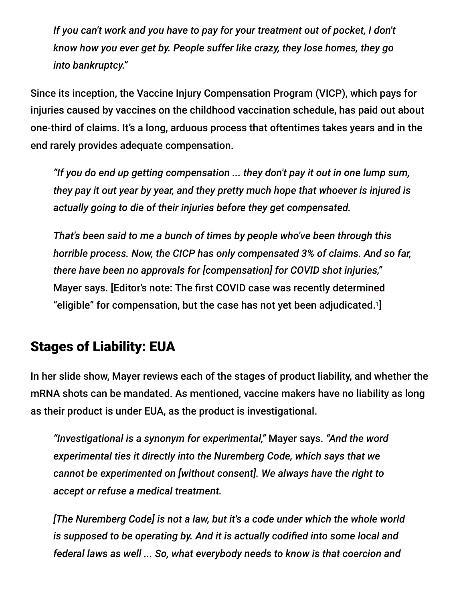*If you can't work and you have to pay for your treatment out of pocket, I don't know how you ever get by. People suffer like crazy, they lose homes, they go into bankruptcy."*

Since its inception, the Vaccine Injury Compensation Program (VICP), which pays for injuries caused by vaccines on the childhood vaccination schedule, has paid out about one-third of claims. It's a long, arduous process that oftentimes takes years and in the end rarely provides adequate compensation.

*"If you do end up getting compensation ... they don't pay it out in one lump sum, they pay it out year by year, and they pretty much hope that whoever is injured is actually going to die of their injuries before they get compensated.*

*That's been said to me a bunch of times by people who've been through this horrible process. Now, the CICP has only compensated 3% of claims. And so far, there have been no approvals for [compensation] for COVID shot injuries,"* Mayer says. [Editor's note: The first COVID case was recently determined "eligible" for compensation, but the case has not yet been adjudicated. $1$ 

# Stages of Liability: EUA

In her slide show, Mayer reviews each of the stages of product liability, and whether the mRNA shots can be mandated. As mentioned, vaccine makers have no liability as long as their product is under EUA, as the product is investigational.

*"Investigational is a synonym for experimental,"* Mayer says. *"And the word experimental ties it directly into the Nuremberg Code, which says that we cannot be experimented on [without consent]. We always have the right to accept or refuse a medical treatment.*

*[The Nuremberg Code] is not a law, but it's a code under which the whole world is supposed to be operating by. And it is actually codified into some local and federal laws as well ... So, what everybody needs to know is that coercion and*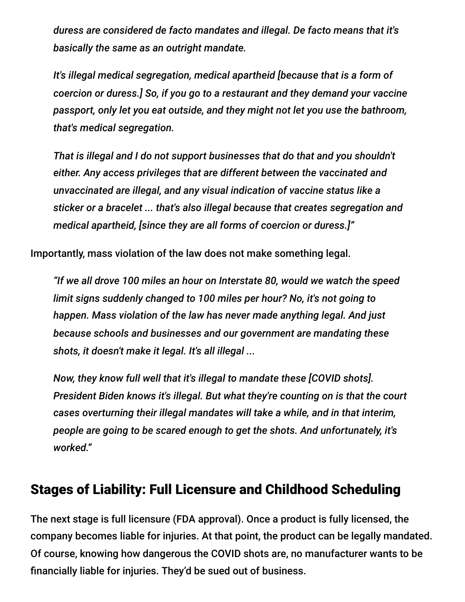*duress are considered de facto mandates and illegal. De facto means that it's basically the same as an outright mandate.*

*It's illegal medical segregation, medical apartheid [because that is a form of coercion or duress.] So, if you go to a restaurant and they demand your vaccine passport, only let you eat outside, and they might not let you use the bathroom, that's medical segregation.*

*That is illegal and I do not support businesses that do that and you shouldn't either. Any access privileges that are different between the vaccinated and unvaccinated are illegal, and any visual indication of vaccine status like a sticker or a bracelet ... that's also illegal because that creates segregation and medical apartheid, [since they are all forms of coercion or duress.]"*

Importantly, mass violation of the law does not make something legal.

*"If we all drove 100 miles an hour on Interstate 80, would we watch the speed limit signs suddenly changed to 100 miles per hour? No, it's not going to happen. Mass violation of the law has never made anything legal. And just because schools and businesses and our government are mandating these shots, it doesn't make it legal. It's all illegal ...*

*Now, they know full well that it's illegal to mandate these [COVID shots]. President Biden knows it's illegal. But what they're counting on is that the court cases overturning their illegal mandates will take a while, and in that interim, people are going to be scared enough to get the shots. And unfortunately, it's worked."*

## Stages of Liability: Full Licensure and Childhood Scheduling

The next stage is full licensure (FDA approval). Once a product is fully licensed, the company becomes liable for injuries. At that point, the product can be legally mandated. Of course, knowing how dangerous the COVID shots are, no manufacturer wants to be financially liable for injuries. They'd be sued out of business.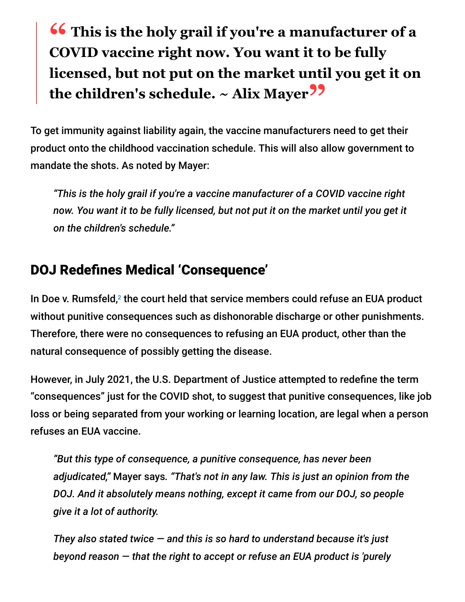# **<sup>66</sup>** This is the holy grail if you're a manufacturer of a<br>COVID vaccine right now You want it to be fully **COVID vaccine right now. You want it to be fully licensed, but not put on the market until you get it on the children's schedule. ~ Alix Mayer"**

To get immunity against liability again, the vaccine manufacturers need to get their product onto the childhood vaccination schedule. This will also allow government to mandate the shots. As noted by Mayer:

*"This is the holy grail if you're a vaccine manufacturer of a COVID vaccine right now. You want it to be fully licensed, but not put it on the market until you get it on the children's schedule."*

## DOJ Redefines Medical 'Consequence'

In Doe v. Rumsfeld, $2$  the court held that service members could refuse an EUA product without punitive consequences such as dishonorable discharge or other punishments. Therefore, there were no consequences to refusing an EUA product, other than the natural consequence of possibly getting the disease.

However, in July 2021, the U.S. Department of Justice attempted to redefine the term "consequences" just for the COVID shot, to suggest that punitive consequences, like job loss or being separated from your working or learning location, are legal when a person refuses an EUA vaccine.

*"But this type of consequence, a punitive consequence, has never been adjudicated,"* Mayer says*. "That's not in any law. This is just an opinion from the DOJ. And it absolutely means nothing, except it came from our DOJ, so people give it a lot of authority.*

*They also stated twice — and this is so hard to understand because it's just beyond reason — that the right to accept or refuse an EUA product is 'purely*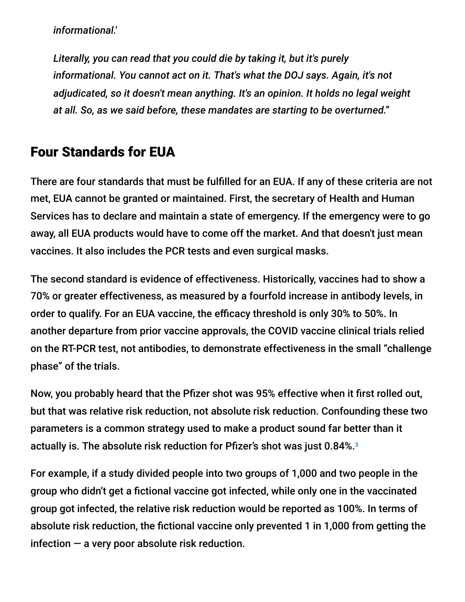*informational.'*

*Literally, you can read that you could die by taking it, but it's purely informational. You cannot act on it. That's what the DOJ says. Again, it's not adjudicated, so it doesn't mean anything. It's an opinion. It holds no legal weight at all. So, as we said before, these mandates are starting to be overturned."*

#### Four Standards for EUA

There are four standards that must be fulfilled for an EUA. If any of these criteria are not met, EUA cannot be granted or maintained. First, the secretary of Health and Human Services has to declare and maintain a state of emergency. If the emergency were to go away, all EUA products would have to come off the market. And that doesn't just mean vaccines. It also includes the PCR tests and even surgical masks.

The second standard is evidence of effectiveness. Historically, vaccines had to show a 70% or greater effectiveness, as measured by a fourfold increase in antibody levels, in order to qualify. For an EUA vaccine, the efficacy threshold is only 30% to 50%. In another departure from prior vaccine approvals, the COVID vaccine clinical trials relied on the RT-PCR test, not antibodies, to demonstrate effectiveness in the small "challenge phase" of the trials.

Now, you probably heard that the Pfizer shot was 95% effective when it first rolled out, but that was relative risk reduction, not absolute risk reduction. Confounding these two parameters is a common strategy used to make a product sound far better than it actually is. The absolute risk reduction for Pfizer's shot was just 0.84%. 3

For example, if a study divided people into two groups of 1,000 and two people in the group who didn't get a fictional vaccine got infected, while only one in the vaccinated group got infected, the relative risk reduction would be reported as 100%. In terms of absolute risk reduction, the fictional vaccine only prevented 1 in 1,000 from getting the infection  $-$  a very poor absolute risk reduction.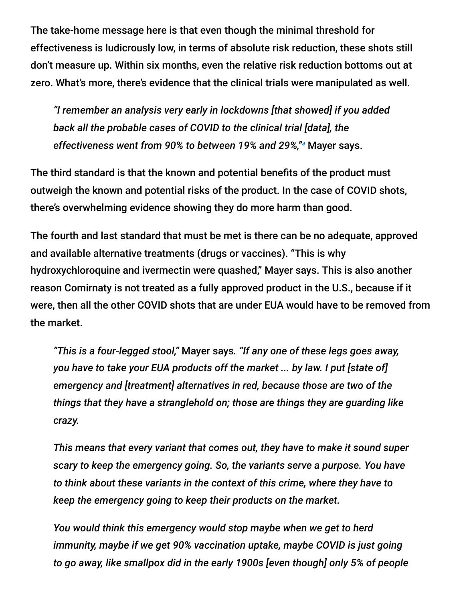The take-home message here is that even though the minimal threshold for effectiveness is ludicrously low, in terms of absolute risk reduction, these shots still don't measure up. Within six months, even the relative risk reduction bottoms out at zero. What's more, there's evidence that the clinical trials were manipulated as well.

*"I remember an analysis very early in lockdowns [that showed] if you added back all the probable cases of COVID to the clinical trial [data], the* effectiveness went from 90% to between 19% and 29%,"<sup>4</sup> Mayer says.

The third standard is that the known and potential benefits of the product must outweigh the known and potential risks of the product. In the case of COVID shots, there's overwhelming evidence showing they do more harm than good.

The fourth and last standard that must be met is there can be no adequate, approved and available alternative treatments (drugs or vaccines). "This is why hydroxychloroquine and ivermectin were quashed," Mayer says. This is also another reason Comirnaty is not treated as a fully approved product in the U.S., because if it were, then all the other COVID shots that are under EUA would have to be removed from the market.

*"This is a four-legged stool,"* Mayer says*. "If any one of these legs goes away, you have to take your EUA products off the market ... by law. I put [state of] emergency and [treatment] alternatives in red, because those are two of the things that they have a stranglehold on; those are things they are guarding like crazy.*

*This means that every variant that comes out, they have to make it sound super scary to keep the emergency going. So, the variants serve a purpose. You have to think about these variants in the context of this crime, where they have to keep the emergency going to keep their products on the market.*

*You would think this emergency would stop maybe when we get to herd immunity, maybe if we get 90% vaccination uptake, maybe COVID is just going to go away, like smallpox did in the early 1900s [even though] only 5% of people*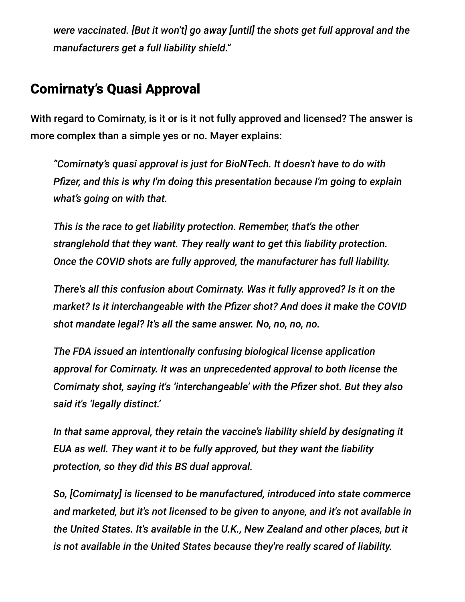*were vaccinated. [But it won't] go away [until] the shots get full approval and the manufacturers get a full liability shield."*

## Comirnaty's Quasi Approval

With regard to Comirnaty, is it or is it not fully approved and licensed? The answer is more complex than a simple yes or no. Mayer explains:

*"Comirnaty's quasi approval is just for BioNTech. It doesn't have to do with Pfizer, and this is why I'm doing this presentation because I'm going to explain what's going on with that.*

*This is the race to get liability protection. Remember, that's the other stranglehold that they want. They really want to get this liability protection. Once the COVID shots are fully approved, the manufacturer has full liability.*

*There's all this confusion about Comirnaty. Was it fully approved? Is it on the market? Is it interchangeable with the Pfizer shot? And does it make the COVID shot mandate legal? It's all the same answer. No, no, no, no.*

*The FDA issued an intentionally confusing biological license application approval for Comirnaty. It was an unprecedented approval to both license the Comirnaty shot, saying it's 'interchangeable' with the Pfizer shot. But they also said it's 'legally distinct.'*

*In that same approval, they retain the vaccine's liability shield by designating it EUA as well. They want it to be fully approved, but they want the liability protection, so they did this BS dual approval.*

*So, [Comirnaty] is licensed to be manufactured, introduced into state commerce and marketed, but it's not licensed to be given to anyone, and it's not available in the United States. It's available in the U.K., New Zealand and other places, but it is not available in the United States because they're really scared of liability.*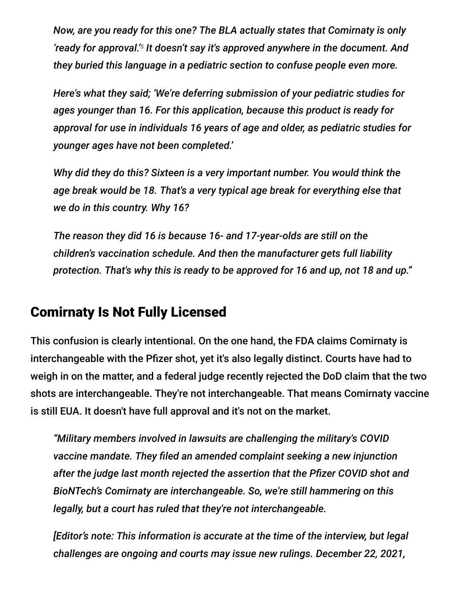*Now, are you ready for this one? The BLA actually states that Comirnaty is only* 'ready for approval.'<sup>5</sup> It doesn't say it's approved anywhere in the document. And *they buried this language in a pediatric section to confuse people even more.*

*Here's what they said; 'We're deferring submission of your pediatric studies for ages younger than 16. For this application, because this product is ready for approval for use in individuals 16 years of age and older, as pediatric studies for younger ages have not been completed.'*

*Why did they do this? Sixteen is a very important number. You would think the age break would be 18. That's a very typical age break for everything else that we do in this country. Why 16?*

*The reason they did 16 is because 16- and 17-year-olds are still on the children's vaccination schedule. And then the manufacturer gets full liability protection. That's why this is ready to be approved for 16 and up, not 18 and up."*

## Comirnaty Is Not Fully Licensed

This confusion is clearly intentional. On the one hand, the FDA claims Comirnaty is interchangeable with the Pfizer shot, yet it's also legally distinct. Courts have had to weigh in on the matter, and a federal judge recently rejected the DoD claim that the two shots are interchangeable. They're not interchangeable. That means Comirnaty vaccine is still EUA. It doesn't have full approval and it's not on the market.

*"Military members involved in lawsuits are challenging the military's COVID vaccine mandate. They filed an amended complaint seeking a new injunction after the judge last month rejected the assertion that the Pfizer COVID shot and BioNTech's Comirnaty are interchangeable. So, we're still hammering on this legally, but a court has ruled that they're not interchangeable.*

*[Editor's note: This information is accurate at the time of the interview, but legal challenges are ongoing and courts may issue new rulings. December 22, 2021,*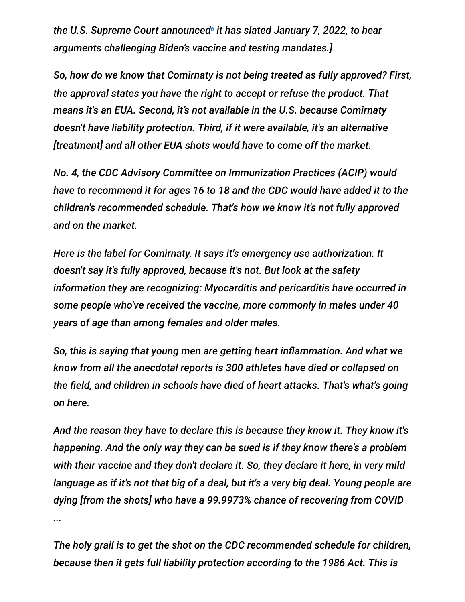the U.S. Supreme Court announced<sup>6</sup> it has slated January 7, 2022, to hear *arguments challenging Biden's vaccine and testing mandates.]*

*So, how do we know that Comirnaty is not being treated as fully approved? First, the approval states you have the right to accept or refuse the product. That means it's an EUA. Second, it's not available in the U.S. because Comirnaty doesn't have liability protection. Third, if it were available, it's an alternative [treatment] and all other EUA shots would have to come off the market.*

*No. 4, the CDC Advisory Committee on Immunization Practices (ACIP) would have to recommend it for ages 16 to 18 and the CDC would have added it to the children's recommended schedule. That's how we know it's not fully approved and on the market.*

*Here is the label for Comirnaty. It says it's emergency use authorization. It doesn't say it's fully approved, because it's not. But look at the safety information they are recognizing: Myocarditis and pericarditis have occurred in some people who've received the vaccine, more commonly in males under 40 years of age than among females and older males.*

*So, this is saying that young men are getting heart inflammation. And what we know from all the anecdotal reports is 300 athletes have died or collapsed on the field, and children in schools have died of heart attacks. That's what's going on here.*

*And the reason they have to declare this is because they know it. They know it's happening. And the only way they can be sued is if they know there's a problem with their vaccine and they don't declare it. So, they declare it here, in very mild language as if it's not that big of a deal, but it's a very big deal. Young people are dying [from the shots] who have a 99.9973% chance of recovering from COVID ...*

*The holy grail is to get the shot on the CDC recommended schedule for children, because then it gets full liability protection according to the 1986 Act. This is*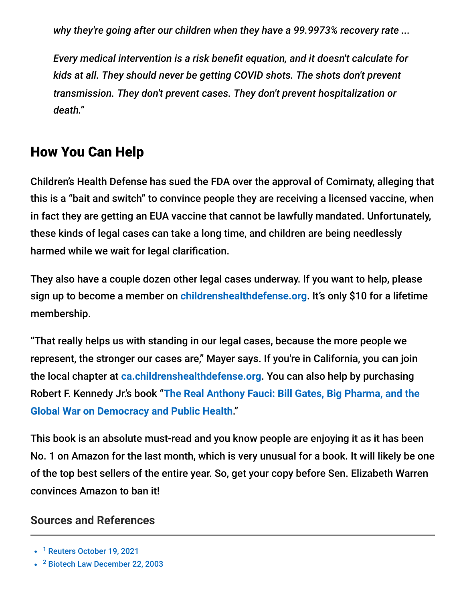*why they're going after our children when they have a 99.9973% recovery rate ...*

*Every medical intervention is a risk benefit equation, and it doesn't calculate for kids at all. They should never be getting COVID shots. The shots don't prevent transmission. They don't prevent cases. They don't prevent hospitalization or death."*

# How You Can Help

Children's Health Defense has sued the FDA over the approval of Comirnaty, alleging that this is a "bait and switch" to convince people they are receiving a licensed vaccine, when in fact they are getting an EUA vaccine that cannot be lawfully mandated. Unfortunately, these kinds of legal cases can take a long time, and children are being needlessly harmed while we wait for legal clarification.

They also have a couple dozen other legal cases underway. If you want to help, please sign up to become a member on **[childrenshealthdefense.org](https://childrenshealthdefense.org/)**. It's only \$10 for a lifetime membership.

"That really helps us with standing in our legal cases, because the more people we represent, the stronger our cases are," Mayer says. If you're in California, you can join the local chapter at **[ca.childrenshealthdefense.org](https://ca.childrenshealthdefense.org/)**. You can also help by purchasing Robert F. Kennedy Jr.'s book "**[The Real Anthony Fauci: Bill Gates, Big Pharma, and the](https://www.amazon.com/Real-Anthony-Fauci-Democracy-Childrens/dp/1510766804) Global War on Democracy and Public Health**."

This book is an absolute must-read and you know people are enjoying it as it has been No. 1 on Amazon for the last month, which is very unusual for a book. It will likely be one of the top best sellers of the entire year. So, get your copy before Sen. Elizabeth Warren convinces Amazon to ban it!

#### **Sources and References**

<sup>2</sup> [Biotech Law December 22, 2003](https://biotech.law.lsu.edu/cases/vaccines/Doe_v_Rumsfeld_I.htm)

<sup>&</sup>lt;sup>1</sup> [Reuters October 19, 2021](https://www.reuters.com/legal/government/covid-vaccine-injury-claims-mount-recourse-is-lacking-those-harmed-2021-10-19/)